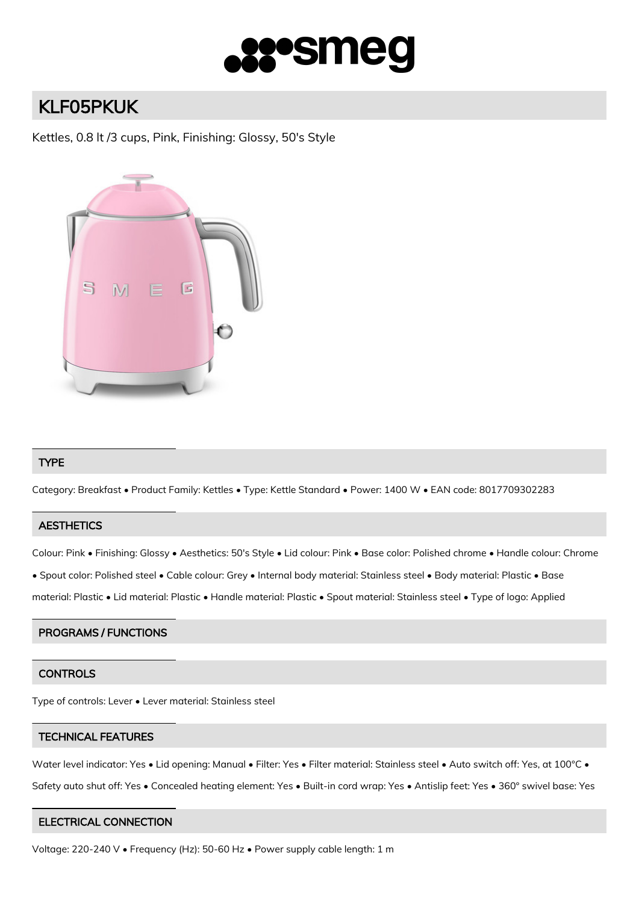

# KLF05PKUK

Kettles, 0.8 lt /3 cups, Pink, Finishing: Glossy, 50's Style



## TYPE

Category: Breakfast • Product Family: Kettles • Type: Kettle Standard • Power: 1400 W • EAN code: 8017709302283

## **AESTHETICS**

Colour: Pink • Finishing: Glossy • Aesthetics: 50's Style • Lid colour: Pink • Base color: Polished chrome • Handle colour: Chrome

• Spout color: Polished steel • Cable colour: Grey • Internal body material: Stainless steel • Body material: Plastic • Base

material: Plastic • Lid material: Plastic • Handle material: Plastic • Spout material: Stainless steel • Type of logo: Applied

## PROGRAMS / FUNCTIONS

## **CONTROLS**

Type of controls: Lever • Lever material: Stainless steel

## TECHNICAL FEATURES

Water level indicator: Yes • Lid opening: Manual • Filter: Yes • Filter material: Stainless steel • Auto switch off: Yes, at 100°C • Safety auto shut off: Yes • Concealed heating element: Yes • Built-in cord wrap: Yes • Antislip feet: Yes • 360° swivel base: Yes

## ELECTRICAL CONNECTION

Voltage: 220-240 V • Frequency (Hz): 50-60 Hz • Power supply cable length: 1 m